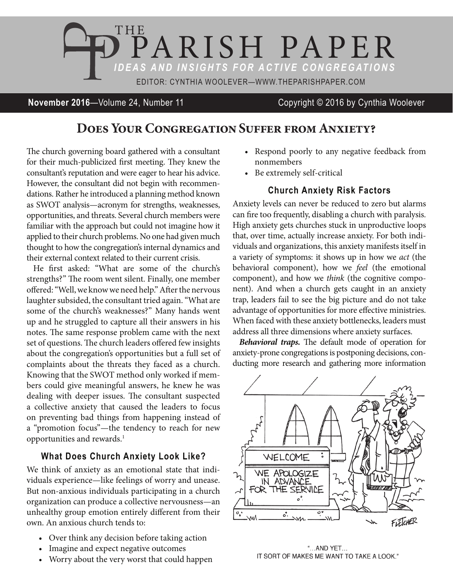

**November 2016**—Volume 24, Number 11 Copyright © 2016 by Cynthia Woolever

## **Does Your Congregation Suffer from Anxiety?**

The church governing board gathered with a consultant for their much-publicized first meeting. They knew the consultant's reputation and were eager to hear his advice. However, the consultant did not begin with recommendations. Rather he introduced a planning method known as SWOT analysis—acronym for strengths, weaknesses, opportunities, and threats. Several church members were familiar with the approach but could not imagine how it applied to their church problems. No one had given much thought to how the congregation's internal dynamics and their external context related to their current crisis.

He first asked: "What are some of the church's strengths?" The room went silent. Finally, one member offered: "Well, we know we need help." After the nervous laughter subsided, the consultant tried again. "What are some of the church's weaknesses?" Many hands went up and he struggled to capture all their answers in his notes. The same response problem came with the next set of questions. The church leaders offered few insights about the congregation's opportunities but a full set of complaints about the threats they faced as a church. Knowing that the SWOT method only worked if members could give meaningful answers, he knew he was dealing with deeper issues. The consultant suspected a collective anxiety that caused the leaders to focus on preventing bad things from happening instead of a "promotion focus"—the tendency to reach for new opportunities and rewards.<sup>1</sup>

## **What Does Church Anxiety Look Like?**

We think of anxiety as an emotional state that individuals experience—like feelings of worry and unease. But non-anxious individuals participating in a church organization can produce a collective nervousness—an unhealthy group emotion entirely different from their own. An anxious church tends to:

- Over think any decision before taking action
- Imagine and expect negative outcomes
- Worry about the very worst that could happen
- Respond poorly to any negative feedback from nonmembers
- • Be extremely self-critical

## **Church Anxiety Risk Factors**

Anxiety levels can never be reduced to zero but alarms can fire too frequently, disabling a church with paralysis. High anxiety gets churches stuck in unproductive loops that, over time, actually increase anxiety. For both individuals and organizations, this anxiety manifests itself in a variety of symptoms: it shows up in how we *act* (the behavioral component), how we *feel* (the emotional component), and how we *think* (the cognitive component). And when a church gets caught in an anxiety trap, leaders fail to see the big picture and do not take advantage of opportunities for more effective ministries. When faced with these anxiety bottlenecks, leaders must address all three dimensions where anxiety surfaces.

*Behavioral traps.* The default mode of operation for anxiety-prone congregations is postponing decisions, conducting more research and gathering more information



"...AND YET... IT SORT OF MAKES ME WANT TO TAKE A LOOK."